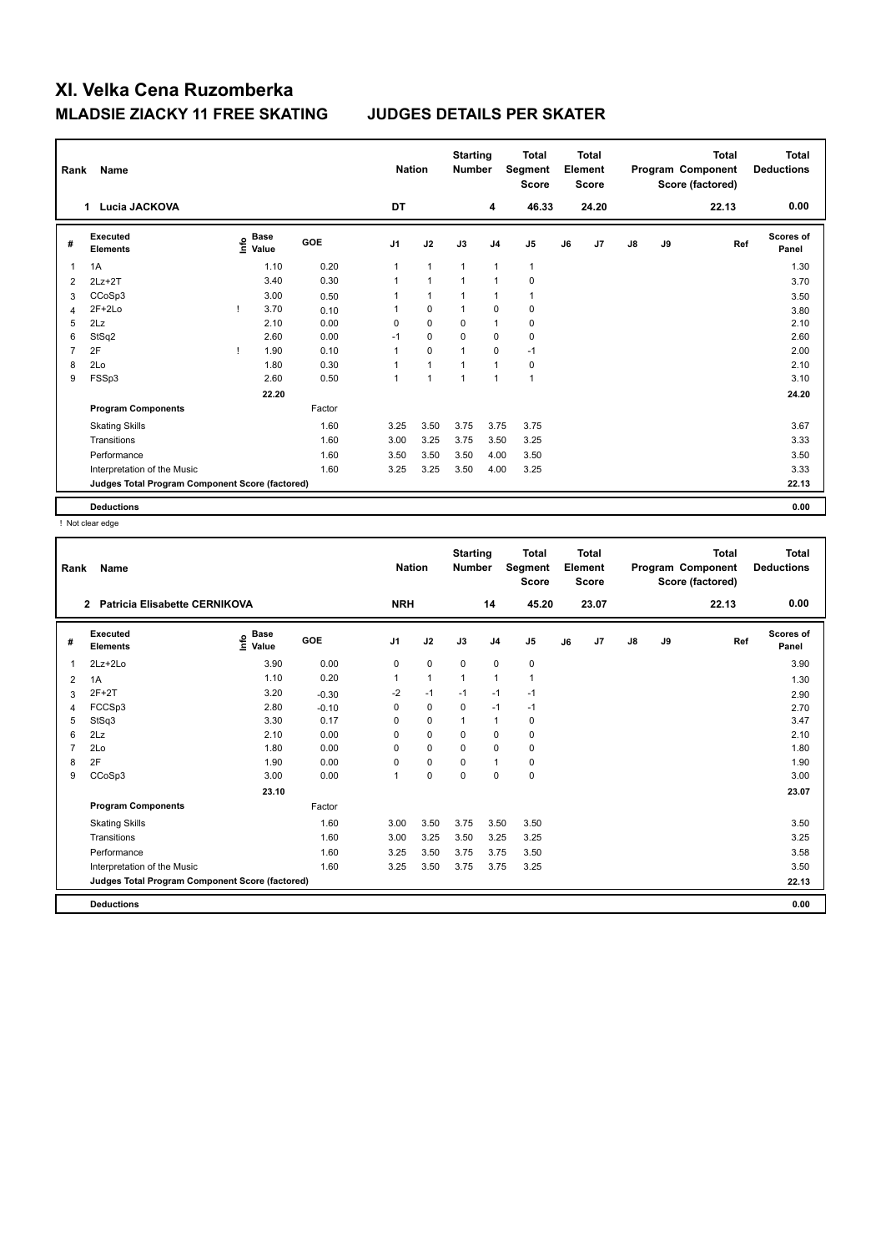| Rank | Name                                            | <b>Nation</b>                             |            | <b>Starting</b><br><b>Number</b> |              | <b>Total</b><br>Segment<br><b>Score</b> |                | <b>Total</b><br>Element<br><b>Score</b> |    |                | <b>Total</b><br>Program Component<br>Score (factored) | Total<br><b>Deductions</b> |       |                           |
|------|-------------------------------------------------|-------------------------------------------|------------|----------------------------------|--------------|-----------------------------------------|----------------|-----------------------------------------|----|----------------|-------------------------------------------------------|----------------------------|-------|---------------------------|
|      | Lucia JACKOVA<br>$\mathbf 1$                    |                                           |            | DT                               |              |                                         | 4              | 46.33                                   |    | 24.20          |                                                       |                            | 22.13 | 0.00                      |
| #    | <b>Executed</b><br><b>Elements</b>              | $\frac{e}{E}$ Base<br>$\frac{E}{E}$ Value | <b>GOE</b> | J <sub>1</sub>                   | J2           | J3                                      | J <sub>4</sub> | J <sub>5</sub>                          | J6 | J <sub>7</sub> | $\mathsf{J}8$                                         | J9                         | Ref   | <b>Scores of</b><br>Panel |
|      | 1A                                              | 1.10                                      | 0.20       | 1                                | $\mathbf{1}$ | $\mathbf{1}$                            | $\overline{1}$ | $\mathbf{1}$                            |    |                |                                                       |                            |       | 1.30                      |
| 2    | $2Lz+2T$                                        | 3.40                                      | 0.30       | 1                                | $\mathbf{1}$ | $\mathbf{1}$                            | $\overline{1}$ | 0                                       |    |                |                                                       |                            |       | 3.70                      |
| 3    | CCoSp3                                          | 3.00                                      | 0.50       | 1                                | $\mathbf{1}$ | 1                                       | $\overline{1}$ | 1                                       |    |                |                                                       |                            |       | 3.50                      |
| 4    | $2F+2Lo$                                        | 3.70                                      | 0.10       | 1                                | $\mathbf 0$  | $\mathbf{1}$                            | $\mathbf 0$    | $\pmb{0}$                               |    |                |                                                       |                            |       | 3.80                      |
| 5    | 2Lz                                             | 2.10                                      | 0.00       | 0                                | $\mathbf 0$  | 0                                       | $\mathbf{1}$   | 0                                       |    |                |                                                       |                            |       | 2.10                      |
| 6    | StSq2                                           | 2.60                                      | 0.00       | $-1$                             | $\mathbf 0$  | $\mathbf 0$                             | 0              | 0                                       |    |                |                                                       |                            |       | 2.60                      |
| 7    | 2F                                              | 1.90                                      | 0.10       | 1                                | $\mathbf 0$  | 1                                       | $\mathbf 0$    | $-1$                                    |    |                |                                                       |                            |       | 2.00                      |
| 8    | 2Lo                                             | 1.80                                      | 0.30       | 1                                | $\mathbf{1}$ | 1                                       | $\overline{1}$ | 0                                       |    |                |                                                       |                            |       | 2.10                      |
| 9    | FSSp3                                           | 2.60                                      | 0.50       | 1                                | 1            | 1                                       | $\overline{1}$ | 1                                       |    |                |                                                       |                            |       | 3.10                      |
|      |                                                 | 22.20                                     |            |                                  |              |                                         |                |                                         |    |                |                                                       |                            |       | 24.20                     |
|      | <b>Program Components</b>                       |                                           | Factor     |                                  |              |                                         |                |                                         |    |                |                                                       |                            |       |                           |
|      | <b>Skating Skills</b>                           |                                           | 1.60       | 3.25                             | 3.50         | 3.75                                    | 3.75           | 3.75                                    |    |                |                                                       |                            |       | 3.67                      |
|      | Transitions                                     |                                           | 1.60       | 3.00                             | 3.25         | 3.75                                    | 3.50           | 3.25                                    |    |                |                                                       |                            |       | 3.33                      |
|      | Performance                                     |                                           | 1.60       | 3.50                             | 3.50         | 3.50                                    | 4.00           | 3.50                                    |    |                |                                                       |                            |       | 3.50                      |
|      | Interpretation of the Music                     |                                           | 1.60       | 3.25                             | 3.25         | 3.50                                    | 4.00           | 3.25                                    |    |                |                                                       |                            |       | 3.33                      |
|      | Judges Total Program Component Score (factored) |                                           |            |                                  |              |                                         |                |                                         |    |                |                                                       |                            |       | 22.13                     |
|      | <b>Deductions</b>                               |                                           |            |                                  |              |                                         |                |                                         |    |                |                                                       |                            |       | 0.00                      |

! Not clear edge

| Rank | Name<br><b>Patricia Elisabette CERNIKOVA</b><br>$\mathbf{2}$ |                                  |            |                | <b>Nation</b> | <b>Starting</b><br><b>Number</b> |                | <b>Total</b><br>Segment<br><b>Score</b> |    | <b>Total</b><br>Element<br><b>Score</b> |               |    | <b>Total</b><br>Program Component<br>Score (factored) | <b>Total</b><br><b>Deductions</b> |
|------|--------------------------------------------------------------|----------------------------------|------------|----------------|---------------|----------------------------------|----------------|-----------------------------------------|----|-----------------------------------------|---------------|----|-------------------------------------------------------|-----------------------------------|
|      |                                                              |                                  |            | <b>NRH</b>     |               |                                  | 14             | 45.20                                   |    | 23.07                                   |               |    | 22.13                                                 | 0.00                              |
| #    | Executed<br><b>Elements</b>                                  | <b>Base</b><br>e Base<br>⊆ Value | <b>GOE</b> | J <sub>1</sub> | J2            | J3                               | J <sub>4</sub> | J5                                      | J6 | J7                                      | $\mathsf{J}8$ | J9 | Ref                                                   | <b>Scores of</b><br>Panel         |
| 1    | $2Lz + 2Lo$                                                  | 3.90                             | 0.00       | 0              | $\pmb{0}$     | $\mathbf 0$                      | $\pmb{0}$      | $\pmb{0}$                               |    |                                         |               |    |                                                       | 3.90                              |
| 2    | 1A                                                           | 1.10                             | 0.20       |                | $\mathbf{1}$  | 1                                | $\mathbf{1}$   | $\mathbf{1}$                            |    |                                         |               |    |                                                       | 1.30                              |
| 3    | $2F+2T$                                                      | 3.20                             | $-0.30$    | $-2$           | $-1$          | $-1$                             | $-1$           | $-1$                                    |    |                                         |               |    |                                                       | 2.90                              |
| 4    | FCCSp3                                                       | 2.80                             | $-0.10$    | 0              | $\mathbf 0$   | $\mathbf 0$                      | $-1$           | $-1$                                    |    |                                         |               |    |                                                       | 2.70                              |
| 5    | StSq3                                                        | 3.30                             | 0.17       | 0              | $\mathbf 0$   | $\overline{1}$                   | $\mathbf{1}$   | 0                                       |    |                                         |               |    |                                                       | 3.47                              |
| 6    | 2Lz                                                          | 2.10                             | 0.00       | 0              | $\mathbf 0$   | $\mathbf 0$                      | $\mathbf 0$    | $\pmb{0}$                               |    |                                         |               |    |                                                       | 2.10                              |
|      | 2Lo                                                          | 1.80                             | 0.00       | 0              | 0             | $\mathbf 0$                      | 0              | 0                                       |    |                                         |               |    |                                                       | 1.80                              |
| 8    | 2F                                                           | 1.90                             | 0.00       | 0              | $\mathbf 0$   | 0                                | $\mathbf{1}$   | 0                                       |    |                                         |               |    |                                                       | 1.90                              |
| 9    | CCoSp3                                                       | 3.00                             | 0.00       | $\overline{1}$ | $\pmb{0}$     | $\mathbf 0$                      | $\mathbf 0$    | $\pmb{0}$                               |    |                                         |               |    |                                                       | 3.00                              |
|      |                                                              | 23.10                            |            |                |               |                                  |                |                                         |    |                                         |               |    |                                                       | 23.07                             |
|      | <b>Program Components</b>                                    |                                  | Factor     |                |               |                                  |                |                                         |    |                                         |               |    |                                                       |                                   |
|      | <b>Skating Skills</b>                                        |                                  | 1.60       | 3.00           | 3.50          | 3.75                             | 3.50           | 3.50                                    |    |                                         |               |    |                                                       | 3.50                              |
|      | Transitions                                                  |                                  | 1.60       | 3.00           | 3.25          | 3.50                             | 3.25           | 3.25                                    |    |                                         |               |    |                                                       | 3.25                              |
|      | Performance                                                  |                                  | 1.60       | 3.25           | 3.50          | 3.75                             | 3.75           | 3.50                                    |    |                                         |               |    |                                                       | 3.58                              |
|      | Interpretation of the Music                                  |                                  | 1.60       | 3.25           | 3.50          | 3.75                             | 3.75           | 3.25                                    |    |                                         |               |    |                                                       | 3.50                              |
|      | Judges Total Program Component Score (factored)              |                                  |            |                |               |                                  |                |                                         |    |                                         |               |    |                                                       | 22.13                             |
|      | <b>Deductions</b>                                            |                                  |            |                |               |                                  |                |                                         |    |                                         |               |    |                                                       | 0.00                              |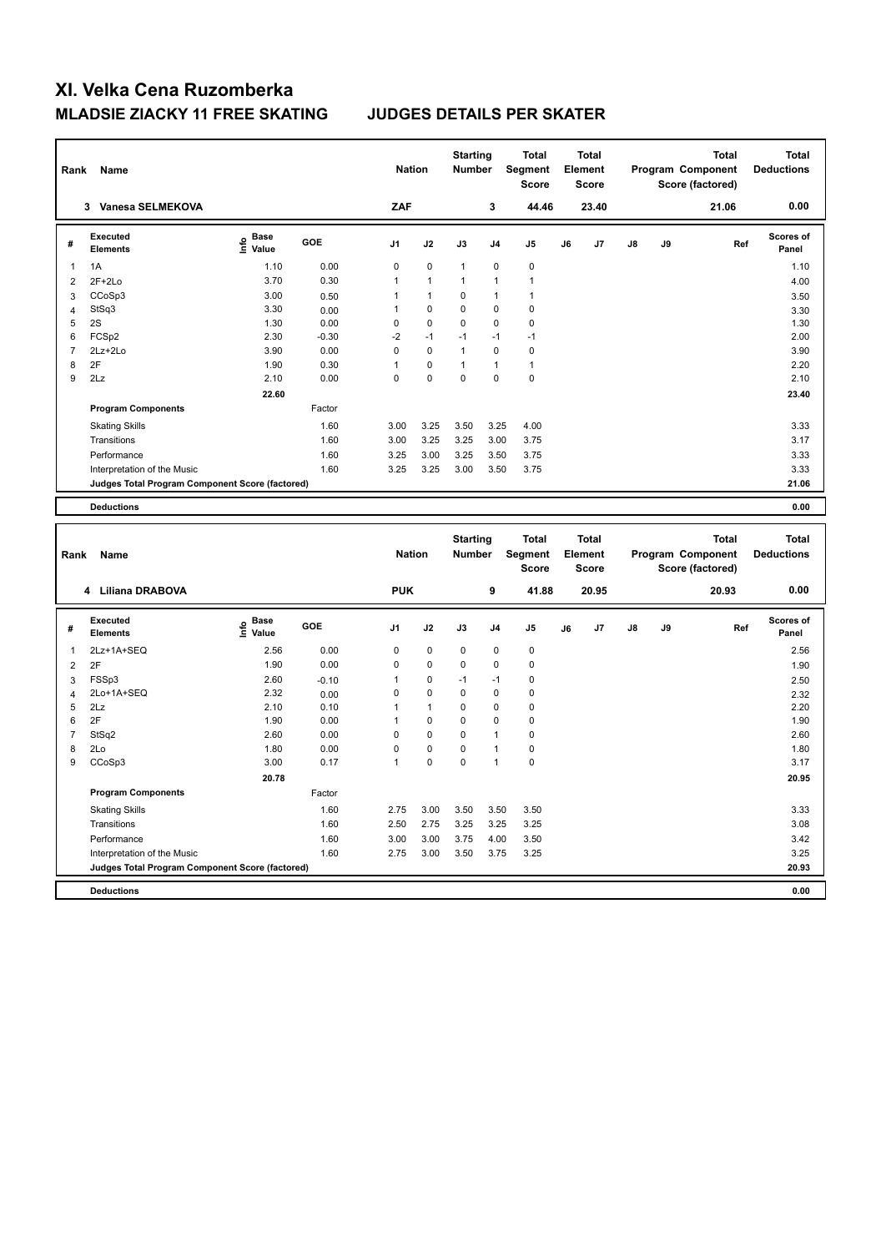| Rank           | Name                                            |                                           |         | <b>Nation</b>  |              | <b>Starting</b><br><b>Number</b> |                | <b>Total</b><br>Segment<br><b>Score</b> |    | <b>Total</b><br>Element<br><b>Score</b> |    |    | <b>Total</b><br>Program Component<br>Score (factored) | <b>Total</b><br><b>Deductions</b> |
|----------------|-------------------------------------------------|-------------------------------------------|---------|----------------|--------------|----------------------------------|----------------|-----------------------------------------|----|-----------------------------------------|----|----|-------------------------------------------------------|-----------------------------------|
|                | 3 Vanesa SELMEKOVA                              |                                           |         | ZAF            |              |                                  | 3              | 44.46                                   |    | 23.40                                   |    |    | 21.06                                                 | 0.00                              |
| #              | <b>Executed</b><br><b>Elements</b>              | $\frac{e}{E}$ Base<br>$\frac{e}{E}$ Value | GOE     | J1             | J2           | J3                               | J <sub>4</sub> | J5                                      | J6 | J7                                      | J8 | J9 |                                                       | Scores of<br>Ref<br>Panel         |
| $\mathbf{1}$   | 1A                                              | 1.10                                      | 0.00    | $\mathbf 0$    | $\mathbf 0$  | $\mathbf{1}$                     | $\mathbf 0$    | $\pmb{0}$                               |    |                                         |    |    |                                                       | 1.10                              |
| $\overline{2}$ | $2F+2Lo$                                        | 3.70                                      | 0.30    | $\mathbf{1}$   | $\mathbf{1}$ | $\mathbf{1}$                     | 1              | $\overline{1}$                          |    |                                         |    |    |                                                       | 4.00                              |
| $\mathbf{3}$   | CCoSp3                                          | 3.00                                      | 0.50    | $\mathbf{1}$   | $\mathbf{1}$ | 0                                | $\mathbf{1}$   | $\overline{1}$                          |    |                                         |    |    |                                                       | 3.50                              |
| $\overline{4}$ | StSq3                                           | 3.30                                      | 0.00    | $\mathbf{1}$   | 0            | 0                                | $\mathbf 0$    | $\mathbf 0$                             |    |                                         |    |    |                                                       | 3.30                              |
| 5              | 2S                                              | 1.30                                      | 0.00    | $\mathbf 0$    | $\pmb{0}$    | 0                                | $\mathbf 0$    | $\pmb{0}$                               |    |                                         |    |    |                                                       | 1.30                              |
| 6              | FCSp2                                           | 2.30                                      | $-0.30$ | $-2$           | $-1$         | $-1$                             | $-1$           | $-1$                                    |    |                                         |    |    |                                                       | 2.00                              |
| $\overline{7}$ | 2Lz+2Lo                                         | 3.90                                      | 0.00    | $\mathbf 0$    | $\pmb{0}$    | 1                                | $\mathbf 0$    | $\pmb{0}$                               |    |                                         |    |    |                                                       | 3.90                              |
| 8              | 2F                                              | 1.90                                      | 0.30    | $\mathbf{1}$   | $\mathbf 0$  | $\mathbf{1}$                     | $\mathbf{1}$   | $\overline{1}$                          |    |                                         |    |    |                                                       | 2.20                              |
| 9              | 2Lz                                             | 2.10                                      | 0.00    | $\mathbf 0$    | $\mathbf 0$  | 0                                | $\mathbf 0$    | $\pmb{0}$                               |    |                                         |    |    |                                                       | 2.10                              |
|                |                                                 | 22.60                                     |         |                |              |                                  |                |                                         |    |                                         |    |    |                                                       | 23.40                             |
|                | <b>Program Components</b>                       |                                           | Factor  |                |              |                                  |                |                                         |    |                                         |    |    |                                                       |                                   |
|                | <b>Skating Skills</b>                           |                                           | 1.60    | 3.00           | 3.25         | 3.50                             | 3.25           | 4.00                                    |    |                                         |    |    |                                                       | 3.33                              |
|                | Transitions                                     |                                           | 1.60    | 3.00           | 3.25         | 3.25                             | 3.00           | 3.75                                    |    |                                         |    |    |                                                       | 3.17                              |
|                | Performance                                     |                                           | 1.60    | 3.25           | 3.00         | 3.25                             | 3.50           | 3.75                                    |    |                                         |    |    |                                                       | 3.33                              |
|                | Interpretation of the Music                     |                                           | 1.60    | 3.25           | 3.25         | 3.00                             | 3.50           | 3.75                                    |    |                                         |    |    |                                                       | 3.33                              |
|                | Judges Total Program Component Score (factored) |                                           |         |                |              |                                  |                |                                         |    |                                         |    |    |                                                       | 21.06                             |
|                |                                                 |                                           |         |                |              |                                  |                |                                         |    |                                         |    |    |                                                       |                                   |
|                | <b>Deductions</b>                               |                                           |         |                |              |                                  |                |                                         |    |                                         |    |    |                                                       | 0.00                              |
|                |                                                 |                                           |         |                |              |                                  |                |                                         |    |                                         |    |    |                                                       |                                   |
| Rank           | Name                                            |                                           |         | <b>Nation</b>  |              | <b>Starting</b><br><b>Number</b> |                | <b>Total</b><br>Segment<br><b>Score</b> |    | <b>Total</b><br>Element<br><b>Score</b> |    |    | <b>Total</b><br>Program Component<br>Score (factored) | <b>Total</b><br><b>Deductions</b> |
|                | 4 Liliana DRABOVA                               |                                           |         | <b>PUK</b>     |              |                                  | 9              | 41.88                                   |    | 20.95                                   |    |    | 20.93                                                 | 0.00                              |
| #              | <b>Executed</b>                                 |                                           | GOE     | J <sub>1</sub> | J2           | J3                               | J4             | J5                                      | J6 | J7                                      | J8 | J9 |                                                       | Scores of<br>Ref                  |
|                | <b>Elements</b>                                 | $\epsilon$ Base<br>$\epsilon$ Value       |         |                |              |                                  |                |                                         |    |                                         |    |    |                                                       | Panel                             |
| 1              | 2Lz+1A+SEQ                                      | 2.56                                      | 0.00    | $\mathbf 0$    | 0            | 0                                | $\mathbf 0$    | $\mathbf 0$                             |    |                                         |    |    |                                                       | 2.56                              |
| $\overline{2}$ | 2F                                              | 1.90                                      | 0.00    | $\mathbf 0$    | 0            | 0                                | 0              | $\mathbf 0$                             |    |                                         |    |    |                                                       | 1.90                              |
| 3              | FSSp3                                           | 2.60                                      | $-0.10$ | 1              | $\mathbf 0$  | $-1$                             | $-1$           | $\mathbf 0$                             |    |                                         |    |    |                                                       | 2.50                              |
| $\overline{4}$ | 2Lo+1A+SEQ                                      | 2.32                                      | 0.00    | $\mathbf 0$    | 0            | 0                                | $\mathbf 0$    | $\mathbf 0$                             |    |                                         |    |    |                                                       | 2.32                              |
| 5              | 2Lz                                             | 2.10                                      | 0.10    | 1              | $\mathbf{1}$ | 0                                | $\mathbf 0$    | $\mathbf 0$                             |    |                                         |    |    |                                                       | 2.20                              |
| 6              | 2F                                              | 1.90                                      | 0.00    | $\mathbf{1}$   | $\mathbf{0}$ | $\mathbf 0$                      | $\Omega$       | $\mathbf 0$                             |    |                                         |    |    |                                                       | 1.90                              |
| $\overline{7}$ | StSq2                                           | 2.60                                      | 0.00    | $\mathbf 0$    | $\mathbf 0$  | 0                                | $\overline{1}$ | $\pmb{0}$                               |    |                                         |    |    |                                                       | 2.60                              |
| 8              | 2Lo                                             | 1.80                                      | 0.00    | $\mathbf 0$    | 0            | 0                                | $\mathbf{1}$   | $\mathbf 0$                             |    |                                         |    |    |                                                       | 1.80                              |
| 9              | CCoSp3                                          | 3.00                                      | 0.17    | $\mathbf{1}$   | 0            | $\mathbf 0$                      | $\mathbf{1}$   | $\mathbf 0$                             |    |                                         |    |    |                                                       | 3.17                              |
|                |                                                 | 20.78                                     |         |                |              |                                  |                |                                         |    |                                         |    |    |                                                       | 20.95                             |
|                | <b>Program Components</b>                       |                                           | Factor  |                |              |                                  |                |                                         |    |                                         |    |    |                                                       |                                   |
|                | <b>Skating Skills</b>                           |                                           | 1.60    | 2.75           | 3.00         | 3.50                             | 3.50           | 3.50                                    |    |                                         |    |    |                                                       | 3.33                              |
|                | Transitions                                     |                                           | 1.60    | 2.50           | 2.75         | 3.25                             | 3.25           | 3.25                                    |    |                                         |    |    |                                                       | 3.08                              |
|                | Performance                                     |                                           | 1.60    | 3.00           | 3.00         | 3.75                             | 4.00           | 3.50                                    |    |                                         |    |    |                                                       | 3.42                              |
|                | Interpretation of the Music                     |                                           | 1.60    | 2.75           | 3.00         | 3.50                             | 3.75           | 3.25                                    |    |                                         |    |    |                                                       | 3.25                              |
|                | Judges Total Program Component Score (factored) |                                           |         |                |              |                                  |                |                                         |    |                                         |    |    |                                                       | 20.93                             |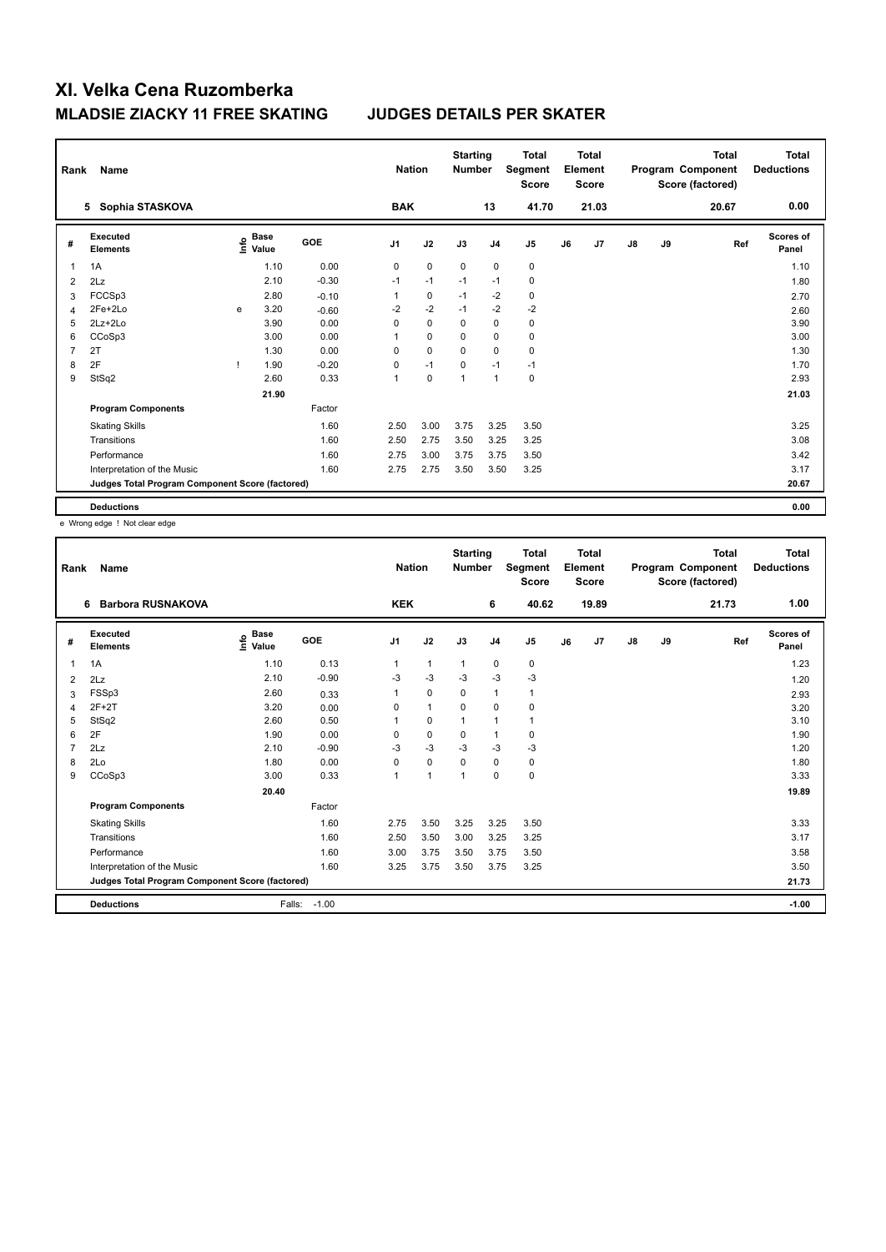| Rank | Name                                            |    |                                  |            | <b>Nation</b>  |             | <b>Starting</b><br><b>Number</b> |                | <b>Total</b><br>Segment<br><b>Score</b> |    | <b>Total</b><br>Element<br><b>Score</b> |               |    | <b>Total</b><br>Program Component<br>Score (factored) | Total<br><b>Deductions</b> |
|------|-------------------------------------------------|----|----------------------------------|------------|----------------|-------------|----------------------------------|----------------|-----------------------------------------|----|-----------------------------------------|---------------|----|-------------------------------------------------------|----------------------------|
|      | Sophia STASKOVA<br>5                            |    |                                  |            | <b>BAK</b>     |             |                                  | 13             | 41.70                                   |    | 21.03                                   |               |    | 20.67                                                 | 0.00                       |
| #    | Executed<br><b>Elements</b>                     |    | <b>Base</b><br>o Base<br>⊆ Value | <b>GOE</b> | J <sub>1</sub> | J2          | J3                               | J <sub>4</sub> | J <sub>5</sub>                          | J6 | J7                                      | $\mathsf{J}8$ | J9 | Ref                                                   | <b>Scores of</b><br>Panel  |
| 1    | 1A                                              |    | 1.10                             | 0.00       | 0              | $\mathbf 0$ | $\mathbf 0$                      | $\mathbf 0$    | $\pmb{0}$                               |    |                                         |               |    |                                                       | 1.10                       |
| 2    | 2Lz                                             |    | 2.10                             | $-0.30$    | $-1$           | $-1$        | $-1$                             | $-1$           | $\pmb{0}$                               |    |                                         |               |    |                                                       | 1.80                       |
| 3    | FCCSp3                                          |    | 2.80                             | $-0.10$    | 1              | 0           | $-1$                             | $-2$           | 0                                       |    |                                         |               |    |                                                       | 2.70                       |
| 4    | 2Fe+2Lo                                         | e  | 3.20                             | $-0.60$    | $-2$           | $-2$        | $-1$                             | $-2$           | $-2$                                    |    |                                         |               |    |                                                       | 2.60                       |
| 5    | 2Lz+2Lo                                         |    | 3.90                             | 0.00       | 0              | $\mathbf 0$ | 0                                | 0              | 0                                       |    |                                         |               |    |                                                       | 3.90                       |
| 6    | CCoSp3                                          |    | 3.00                             | 0.00       | 1              | $\mathbf 0$ | 0                                | 0              | 0                                       |    |                                         |               |    |                                                       | 3.00                       |
| 7    | 2T                                              |    | 1.30                             | 0.00       | 0              | $\mathbf 0$ | $\Omega$                         | $\mathbf 0$    | $\mathbf 0$                             |    |                                         |               |    |                                                       | 1.30                       |
| 8    | 2F                                              | л. | 1.90                             | $-0.20$    | 0              | $-1$        | 0                                | $-1$           | $-1$                                    |    |                                         |               |    |                                                       | 1.70                       |
| 9    | StSq2                                           |    | 2.60                             | 0.33       | 1              | $\mathbf 0$ | 1                                | $\overline{1}$ | $\pmb{0}$                               |    |                                         |               |    |                                                       | 2.93                       |
|      |                                                 |    | 21.90                            |            |                |             |                                  |                |                                         |    |                                         |               |    |                                                       | 21.03                      |
|      | <b>Program Components</b>                       |    |                                  | Factor     |                |             |                                  |                |                                         |    |                                         |               |    |                                                       |                            |
|      | <b>Skating Skills</b>                           |    |                                  | 1.60       | 2.50           | 3.00        | 3.75                             | 3.25           | 3.50                                    |    |                                         |               |    |                                                       | 3.25                       |
|      | Transitions                                     |    |                                  | 1.60       | 2.50           | 2.75        | 3.50                             | 3.25           | 3.25                                    |    |                                         |               |    |                                                       | 3.08                       |
|      | Performance                                     |    |                                  | 1.60       | 2.75           | 3.00        | 3.75                             | 3.75           | 3.50                                    |    |                                         |               |    |                                                       | 3.42                       |
|      | Interpretation of the Music                     |    |                                  | 1.60       | 2.75           | 2.75        | 3.50                             | 3.50           | 3.25                                    |    |                                         |               |    |                                                       | 3.17                       |
|      | Judges Total Program Component Score (factored) |    |                                  |            |                |             |                                  |                |                                         |    |                                         |               |    |                                                       | 20.67                      |
|      | <b>Deductions</b>                               |    |                                  |            |                |             |                                  |                |                                         |    |                                         |               |    |                                                       | 0.00                       |

e Wrong edge ! Not clear edge

| Rank | Name                                            |                                    |            | <b>Nation</b>  |              | <b>Starting</b><br><b>Number</b> |                | <b>Total</b><br>Segment<br><b>Score</b> |    | <b>Total</b><br>Element<br><b>Score</b> |               |    | <b>Total</b><br>Program Component<br>Score (factored) | <b>Total</b><br><b>Deductions</b> |
|------|-------------------------------------------------|------------------------------------|------------|----------------|--------------|----------------------------------|----------------|-----------------------------------------|----|-----------------------------------------|---------------|----|-------------------------------------------------------|-----------------------------------|
|      | <b>Barbora RUSNAKOVA</b><br>6                   |                                    |            | <b>KEK</b>     |              |                                  | 6              | 40.62                                   |    | 19.89                                   |               |    | 21.73                                                 | 1.00                              |
| #    | Executed<br><b>Elements</b>                     | <b>Base</b><br>$\frac{6}{5}$ Value | <b>GOE</b> | J <sub>1</sub> | J2           | J3                               | J <sub>4</sub> | J <sub>5</sub>                          | J6 | J7                                      | $\mathsf{J}8$ | J9 | Ref                                                   | <b>Scores of</b><br>Panel         |
| 1    | 1A                                              | 1.10                               | 0.13       | 1              | $\mathbf{1}$ | $\mathbf{1}$                     | $\pmb{0}$      | 0                                       |    |                                         |               |    |                                                       | 1.23                              |
| 2    | 2Lz                                             | 2.10                               | $-0.90$    | -3             | $-3$         | -3                               | $-3$           | $-3$                                    |    |                                         |               |    |                                                       | 1.20                              |
| 3    | FSSp3                                           | 2.60                               | 0.33       | 1              | $\mathbf 0$  | 0                                | $\mathbf{1}$   | $\mathbf{1}$                            |    |                                         |               |    |                                                       | 2.93                              |
| 4    | $2F+2T$                                         | 3.20                               | 0.00       | $\Omega$       | $\mathbf{1}$ | $\Omega$                         | $\mathbf 0$    | $\pmb{0}$                               |    |                                         |               |    |                                                       | 3.20                              |
| 5    | StSq2                                           | 2.60                               | 0.50       | 1              | $\pmb{0}$    | 1                                | $\mathbf{1}$   | $\mathbf{1}$                            |    |                                         |               |    |                                                       | 3.10                              |
| 6    | 2F                                              | 1.90                               | 0.00       | 0              | $\mathbf 0$  | 0                                | 1              | 0                                       |    |                                         |               |    |                                                       | 1.90                              |
| 7    | 2Lz                                             | 2.10                               | $-0.90$    | -3             | $-3$         | $-3$                             | $-3$           | $-3$                                    |    |                                         |               |    |                                                       | 1.20                              |
| 8    | 2Lo                                             | 1.80                               | 0.00       | $\Omega$       | $\mathbf 0$  | $\Omega$                         | $\mathbf 0$    | $\pmb{0}$                               |    |                                         |               |    |                                                       | 1.80                              |
| 9    | CCoSp3                                          | 3.00                               | 0.33       | 1              | $\mathbf{1}$ | 1                                | $\mathbf 0$    | $\pmb{0}$                               |    |                                         |               |    |                                                       | 3.33                              |
|      |                                                 | 20.40                              |            |                |              |                                  |                |                                         |    |                                         |               |    |                                                       | 19.89                             |
|      | <b>Program Components</b>                       |                                    | Factor     |                |              |                                  |                |                                         |    |                                         |               |    |                                                       |                                   |
|      | <b>Skating Skills</b>                           |                                    | 1.60       | 2.75           | 3.50         | 3.25                             | 3.25           | 3.50                                    |    |                                         |               |    |                                                       | 3.33                              |
|      | Transitions                                     |                                    | 1.60       | 2.50           | 3.50         | 3.00                             | 3.25           | 3.25                                    |    |                                         |               |    |                                                       | 3.17                              |
|      | Performance                                     |                                    | 1.60       | 3.00           | 3.75         | 3.50                             | 3.75           | 3.50                                    |    |                                         |               |    |                                                       | 3.58                              |
|      | Interpretation of the Music                     |                                    | 1.60       | 3.25           | 3.75         | 3.50                             | 3.75           | 3.25                                    |    |                                         |               |    |                                                       | 3.50                              |
|      | Judges Total Program Component Score (factored) |                                    |            |                |              |                                  |                |                                         |    |                                         |               |    |                                                       | 21.73                             |
|      | <b>Deductions</b>                               | Falls:                             | $-1.00$    |                |              |                                  |                |                                         |    |                                         |               |    |                                                       | $-1.00$                           |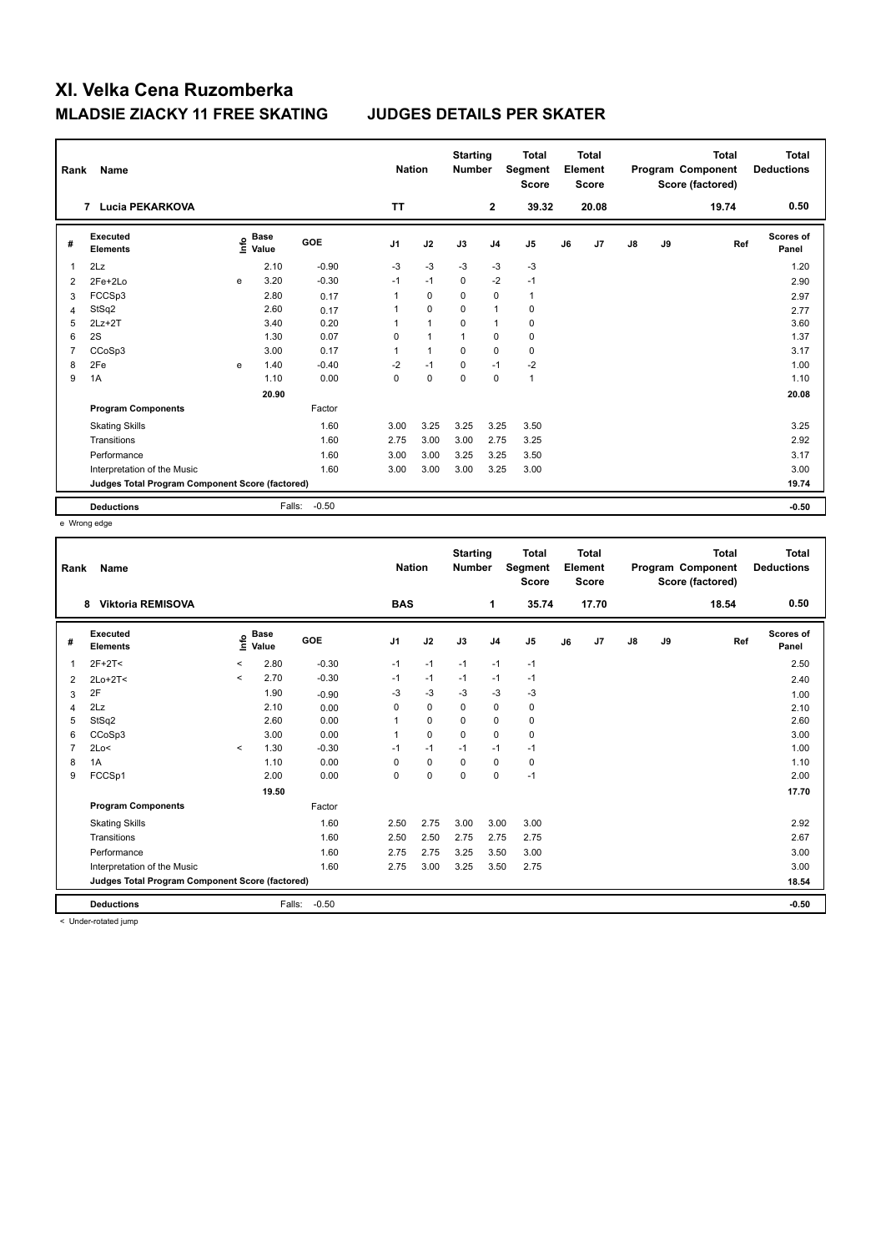| Rank           | Name                                            |   |                      |         |                | <b>Nation</b>  | <b>Starting</b><br><b>Number</b> |                | <b>Total</b><br>Segment<br><b>Score</b> |    | Total<br>Element<br><b>Score</b> |               |    | <b>Total</b><br>Program Component<br>Score (factored) | Total<br><b>Deductions</b> |
|----------------|-------------------------------------------------|---|----------------------|---------|----------------|----------------|----------------------------------|----------------|-----------------------------------------|----|----------------------------------|---------------|----|-------------------------------------------------------|----------------------------|
|                | <b>Lucia PEKARKOVA</b><br>$\overline{7}$        |   |                      |         | <b>TT</b>      |                |                                  | $\mathbf{2}$   | 39.32                                   |    | 20.08                            |               |    | 19.74                                                 | 0.50                       |
| #              | <b>Executed</b><br><b>Elements</b>              | e | <b>Base</b><br>Value | GOE     | J <sub>1</sub> | J2             | J3                               | J <sub>4</sub> | J <sub>5</sub>                          | J6 | J7                               | $\mathsf{J}8$ | J9 | Ref                                                   | Scores of<br>Panel         |
| 1              | 2Lz                                             |   | 2.10                 | $-0.90$ | $-3$           | $-3$           | $-3$                             | $-3$           | $-3$                                    |    |                                  |               |    |                                                       | 1.20                       |
| $\overline{2}$ | 2Fe+2Lo                                         | e | 3.20                 | $-0.30$ | $-1$           | $-1$           | 0                                | $-2$           | $-1$                                    |    |                                  |               |    |                                                       | 2.90                       |
| 3              | FCCSp3                                          |   | 2.80                 | 0.17    | 1              | $\Omega$       | $\Omega$                         | $\Omega$       | $\mathbf{1}$                            |    |                                  |               |    |                                                       | 2.97                       |
| $\overline{4}$ | StSq2                                           |   | 2.60                 | 0.17    | 1              | $\mathbf 0$    | 0                                | $\overline{1}$ | 0                                       |    |                                  |               |    |                                                       | 2.77                       |
| 5              | $2Lz+2T$                                        |   | 3.40                 | 0.20    | 1              | $\overline{1}$ | $\Omega$                         | $\overline{1}$ | $\pmb{0}$                               |    |                                  |               |    |                                                       | 3.60                       |
| 6              | 2S                                              |   | 1.30                 | 0.07    | 0              | $\mathbf{1}$   | 1                                | 0              | $\pmb{0}$                               |    |                                  |               |    |                                                       | 1.37                       |
| 7              | CCoSp3                                          |   | 3.00                 | 0.17    | $\mathbf{1}$   | $\mathbf{1}$   | $\mathbf 0$                      | $\mathbf 0$    | $\mathbf 0$                             |    |                                  |               |    |                                                       | 3.17                       |
| 8              | 2Fe                                             | e | 1.40                 | $-0.40$ | $-2$           | $-1$           | $\mathbf 0$                      | $-1$           | $-2$                                    |    |                                  |               |    |                                                       | 1.00                       |
| 9              | 1A                                              |   | 1.10                 | 0.00    | 0              | $\mathbf 0$    | $\mathbf 0$                      | $\mathbf 0$    | $\mathbf{1}$                            |    |                                  |               |    |                                                       | 1.10                       |
|                |                                                 |   | 20.90                |         |                |                |                                  |                |                                         |    |                                  |               |    |                                                       | 20.08                      |
|                | <b>Program Components</b>                       |   |                      | Factor  |                |                |                                  |                |                                         |    |                                  |               |    |                                                       |                            |
|                | <b>Skating Skills</b>                           |   |                      | 1.60    | 3.00           | 3.25           | 3.25                             | 3.25           | 3.50                                    |    |                                  |               |    |                                                       | 3.25                       |
|                | Transitions                                     |   |                      | 1.60    | 2.75           | 3.00           | 3.00                             | 2.75           | 3.25                                    |    |                                  |               |    |                                                       | 2.92                       |
|                | Performance                                     |   |                      | 1.60    | 3.00           | 3.00           | 3.25                             | 3.25           | 3.50                                    |    |                                  |               |    |                                                       | 3.17                       |
|                | Interpretation of the Music                     |   |                      | 1.60    | 3.00           | 3.00           | 3.00                             | 3.25           | 3.00                                    |    |                                  |               |    |                                                       | 3.00                       |
|                | Judges Total Program Component Score (factored) |   |                      |         |                |                |                                  |                |                                         |    |                                  |               |    |                                                       | 19.74                      |
|                | <b>Deductions</b>                               |   | Falls:               | $-0.50$ |                |                |                                  |                |                                         |    |                                  |               |    |                                                       | $-0.50$                    |

e Wrong edge

| Rank | Name                                            |         |                      |            | <b>Nation</b>  |             | <b>Starting</b><br><b>Number</b> |                | <b>Total</b><br>Segment<br><b>Score</b> |    | Total<br>Element<br><b>Score</b> |               |    | <b>Total</b><br>Program Component<br>Score (factored) | <b>Total</b><br><b>Deductions</b> |
|------|-------------------------------------------------|---------|----------------------|------------|----------------|-------------|----------------------------------|----------------|-----------------------------------------|----|----------------------------------|---------------|----|-------------------------------------------------------|-----------------------------------|
|      | <b>Viktoria REMISOVA</b><br>8                   |         |                      |            | <b>BAS</b>     |             |                                  | 1              | 35.74                                   |    | 17.70                            |               |    | 18.54                                                 | 0.50                              |
| #    | Executed<br><b>Elements</b>                     | Life    | <b>Base</b><br>Value | <b>GOE</b> | J <sub>1</sub> | J2          | J3                               | J <sub>4</sub> | J5                                      | J6 | J7                               | $\mathsf{J}8$ | J9 | Ref                                                   | Scores of<br>Panel                |
| 1    | $2F+2T<$                                        | $\prec$ | 2.80                 | $-0.30$    | $-1$           | $-1$        | $-1$                             | $-1$           | $-1$                                    |    |                                  |               |    |                                                       | 2.50                              |
| 2    | $2Lo+2T<$                                       | $\prec$ | 2.70                 | $-0.30$    | $-1$           | $-1$        | $-1$                             | $-1$           | $-1$                                    |    |                                  |               |    |                                                       | 2.40                              |
| 3    | 2F                                              |         | 1.90                 | $-0.90$    | -3             | $-3$        | -3                               | -3             | -3                                      |    |                                  |               |    |                                                       | 1.00                              |
| 4    | 2Lz                                             |         | 2.10                 | 0.00       | $\Omega$       | 0           | $\Omega$                         | 0              | 0                                       |    |                                  |               |    |                                                       | 2.10                              |
| 5    | StSq2                                           |         | 2.60                 | 0.00       |                | $\mathbf 0$ | 0                                | $\mathbf 0$    | $\pmb{0}$                               |    |                                  |               |    |                                                       | 2.60                              |
| 6    | CCoSp3                                          |         | 3.00                 | 0.00       |                | $\mathbf 0$ | $\mathbf 0$                      | 0              | 0                                       |    |                                  |               |    |                                                       | 3.00                              |
| 7    | 2Lo<                                            | $\prec$ | 1.30                 | $-0.30$    | $-1$           | $-1$        | $-1$                             | $-1$           | $-1$                                    |    |                                  |               |    |                                                       | 1.00                              |
| 8    | 1A                                              |         | 1.10                 | 0.00       | $\Omega$       | $\mathbf 0$ | $\Omega$                         | $\mathbf 0$    | 0                                       |    |                                  |               |    |                                                       | 1.10                              |
| 9    | FCCSp1                                          |         | 2.00                 | 0.00       | 0              | $\mathbf 0$ | $\mathbf 0$                      | 0              | $-1$                                    |    |                                  |               |    |                                                       | 2.00                              |
|      |                                                 |         | 19.50                |            |                |             |                                  |                |                                         |    |                                  |               |    |                                                       | 17.70                             |
|      | <b>Program Components</b>                       |         |                      | Factor     |                |             |                                  |                |                                         |    |                                  |               |    |                                                       |                                   |
|      | <b>Skating Skills</b>                           |         |                      | 1.60       | 2.50           | 2.75        | 3.00                             | 3.00           | 3.00                                    |    |                                  |               |    |                                                       | 2.92                              |
|      | Transitions                                     |         |                      | 1.60       | 2.50           | 2.50        | 2.75                             | 2.75           | 2.75                                    |    |                                  |               |    |                                                       | 2.67                              |
|      | Performance                                     |         |                      | 1.60       | 2.75           | 2.75        | 3.25                             | 3.50           | 3.00                                    |    |                                  |               |    |                                                       | 3.00                              |
|      | Interpretation of the Music                     |         |                      | 1.60       | 2.75           | 3.00        | 3.25                             | 3.50           | 2.75                                    |    |                                  |               |    |                                                       | 3.00                              |
|      | Judges Total Program Component Score (factored) |         |                      |            |                |             |                                  |                |                                         |    |                                  |               |    |                                                       | 18.54                             |
|      | <b>Deductions</b>                               |         | Falls:               | $-0.50$    |                |             |                                  |                |                                         |    |                                  |               |    |                                                       | $-0.50$                           |

< Under-rotated jump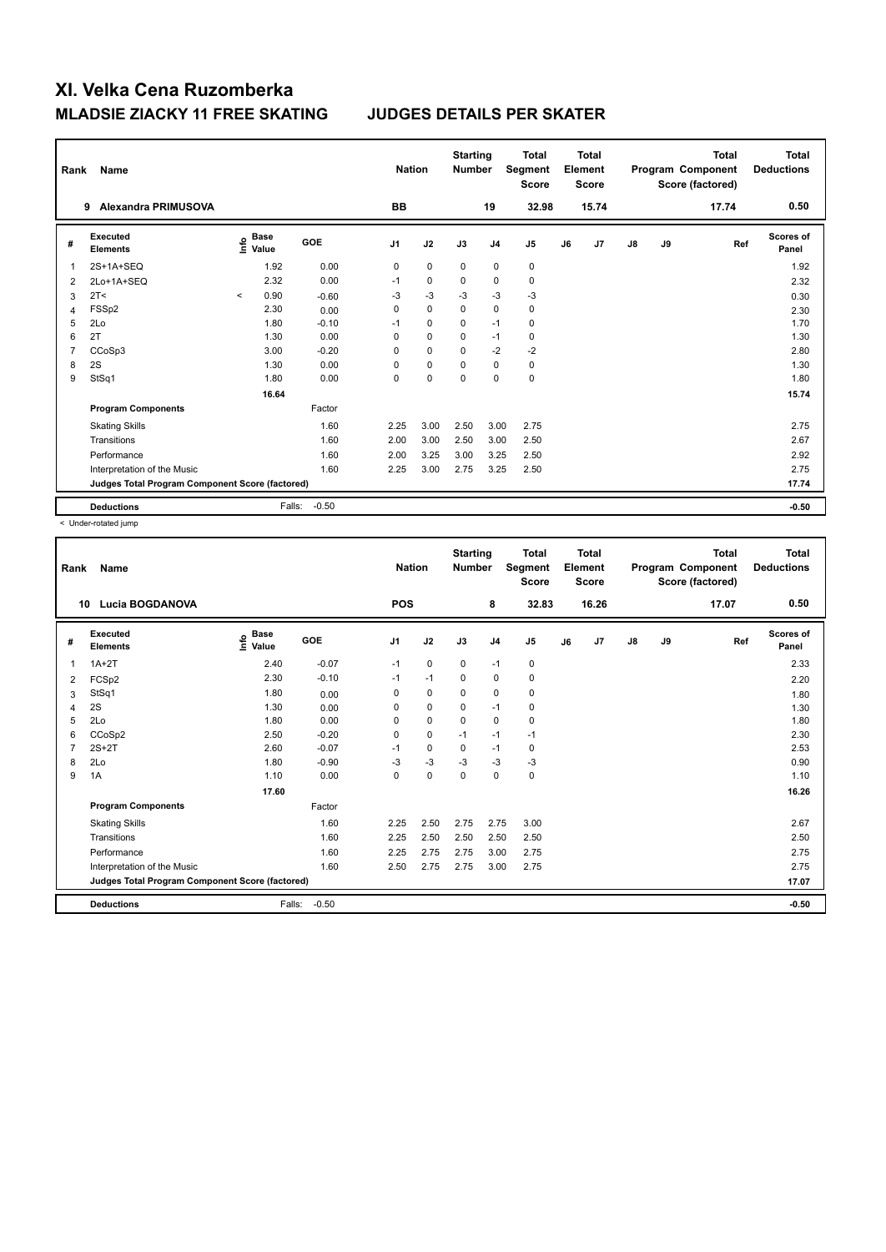| Rank           | Name                                            |         |                      |         |                | <b>Nation</b> | <b>Starting</b><br><b>Number</b> |                | <b>Total</b><br>Segment<br><b>Score</b> |    | <b>Total</b><br>Element<br><b>Score</b> |    |    | <b>Total</b><br>Program Component<br>Score (factored) | <b>Total</b><br><b>Deductions</b> |
|----------------|-------------------------------------------------|---------|----------------------|---------|----------------|---------------|----------------------------------|----------------|-----------------------------------------|----|-----------------------------------------|----|----|-------------------------------------------------------|-----------------------------------|
|                | Alexandra PRIMUSOVA<br>9                        |         |                      |         | <b>BB</b>      |               |                                  | 19             | 32.98                                   |    | 15.74                                   |    |    | 17.74                                                 | 0.50                              |
| #              | Executed<br><b>Elements</b>                     | lnfo    | <b>Base</b><br>Value | GOE     | J <sub>1</sub> | J2            | J3                               | J <sub>4</sub> | J <sub>5</sub>                          | J6 | J7                                      | J8 | J9 | Ref                                                   | Scores of<br>Panel                |
| 1              | 2S+1A+SEQ                                       |         | 1.92                 | 0.00    | 0              | $\mathbf 0$   | $\mathbf 0$                      | $\mathbf 0$    | $\mathbf 0$                             |    |                                         |    |    |                                                       | 1.92                              |
| 2              | 2Lo+1A+SEQ                                      |         | 2.32                 | 0.00    | $-1$           | $\mathbf 0$   | $\pmb{0}$                        | $\mathbf 0$    | $\pmb{0}$                               |    |                                         |    |    |                                                       | 2.32                              |
| 3              | 2T<                                             | $\prec$ | 0.90                 | $-0.60$ | $-3$           | $-3$          | $-3$                             | $-3$           | $-3$                                    |    |                                         |    |    |                                                       | 0.30                              |
| 4              | FSS <sub>p2</sub>                               |         | 2.30                 | 0.00    | 0              | $\mathbf 0$   | $\Omega$                         | $\mathbf 0$    | $\mathbf 0$                             |    |                                         |    |    |                                                       | 2.30                              |
| 5              | 2Lo                                             |         | 1.80                 | $-0.10$ | $-1$           | $\mathbf 0$   | $\Omega$                         | $-1$           | 0                                       |    |                                         |    |    |                                                       | 1.70                              |
| 6              | 2T                                              |         | 1.30                 | 0.00    | 0              | $\Omega$      | $\Omega$                         | $-1$           | $\mathbf 0$                             |    |                                         |    |    |                                                       | 1.30                              |
| $\overline{7}$ | CCoSp3                                          |         | 3.00                 | $-0.20$ | 0              | $\mathbf 0$   | $\Omega$                         | $-2$           | $-2$                                    |    |                                         |    |    |                                                       | 2.80                              |
| 8              | 2S                                              |         | 1.30                 | 0.00    | 0              | $\mathbf 0$   | 0                                | $\mathbf 0$    | 0                                       |    |                                         |    |    |                                                       | 1.30                              |
| 9              | StSq1                                           |         | 1.80                 | 0.00    | 0              | $\Omega$      | $\Omega$                         | $\Omega$       | $\mathbf 0$                             |    |                                         |    |    |                                                       | 1.80                              |
|                |                                                 |         | 16.64                |         |                |               |                                  |                |                                         |    |                                         |    |    |                                                       | 15.74                             |
|                | <b>Program Components</b>                       |         |                      | Factor  |                |               |                                  |                |                                         |    |                                         |    |    |                                                       |                                   |
|                | <b>Skating Skills</b>                           |         |                      | 1.60    | 2.25           | 3.00          | 2.50                             | 3.00           | 2.75                                    |    |                                         |    |    |                                                       | 2.75                              |
|                | Transitions                                     |         |                      | 1.60    | 2.00           | 3.00          | 2.50                             | 3.00           | 2.50                                    |    |                                         |    |    |                                                       | 2.67                              |
|                | Performance                                     |         |                      | 1.60    | 2.00           | 3.25          | 3.00                             | 3.25           | 2.50                                    |    |                                         |    |    |                                                       | 2.92                              |
|                | Interpretation of the Music                     |         |                      | 1.60    | 2.25           | 3.00          | 2.75                             | 3.25           | 2.50                                    |    |                                         |    |    |                                                       | 2.75                              |
|                | Judges Total Program Component Score (factored) |         |                      |         |                |               |                                  |                |                                         |    |                                         |    |    |                                                       | 17.74                             |
|                | <b>Deductions</b>                               |         | Falls:               | $-0.50$ |                |               |                                  |                |                                         |    |                                         |    |    |                                                       | $-0.50$                           |

< Under-rotated jump

| Rank | Name                                            |                                  |            | <b>Nation</b>  |             | <b>Starting</b><br><b>Number</b> |                | <b>Total</b><br>Segment<br><b>Score</b> |    | <b>Total</b><br>Element<br><b>Score</b> |    |    | <b>Total</b><br>Program Component<br>Score (factored) | <b>Total</b><br><b>Deductions</b> |
|------|-------------------------------------------------|----------------------------------|------------|----------------|-------------|----------------------------------|----------------|-----------------------------------------|----|-----------------------------------------|----|----|-------------------------------------------------------|-----------------------------------|
| 10   | <b>Lucia BOGDANOVA</b>                          |                                  |            | <b>POS</b>     |             |                                  | 8              | 32.83                                   |    | 16.26                                   |    |    | 17.07                                                 | 0.50                              |
| #    | Executed<br><b>Elements</b>                     | <b>Base</b><br>e Base<br>⊆ Value | <b>GOE</b> | J <sub>1</sub> | J2          | J3                               | J <sub>4</sub> | J5                                      | J6 | J7                                      | J8 | J9 | Ref                                                   | <b>Scores of</b><br>Panel         |
| 1    | $1A+2T$                                         | 2.40                             | $-0.07$    | $-1$           | $\mathbf 0$ | $\mathbf 0$                      | $-1$           | $\pmb{0}$                               |    |                                         |    |    |                                                       | 2.33                              |
| 2    | FCSp2                                           | 2.30                             | $-0.10$    | $-1$           | $-1$        | $\mathbf 0$                      | 0              | $\pmb{0}$                               |    |                                         |    |    |                                                       | 2.20                              |
| 3    | StSq1                                           | 1.80                             | 0.00       | 0              | 0           | $\mathbf 0$                      | 0              | 0                                       |    |                                         |    |    |                                                       | 1.80                              |
| 4    | 2S                                              | 1.30                             | 0.00       | 0              | $\mathbf 0$ | 0                                | $-1$           | $\pmb{0}$                               |    |                                         |    |    |                                                       | 1.30                              |
| 5    | 2Lo                                             | 1.80                             | 0.00       | 0              | $\pmb{0}$   | $\mathbf 0$                      | 0              | 0                                       |    |                                         |    |    |                                                       | 1.80                              |
| 6    | CCoSp2                                          | 2.50                             | $-0.20$    | 0              | $\mathbf 0$ | $-1$                             | $-1$           | $-1$                                    |    |                                         |    |    |                                                       | 2.30                              |
|      | $2S+2T$                                         | 2.60                             | $-0.07$    | $-1$           | 0           | $\mathbf 0$                      | $-1$           | 0                                       |    |                                         |    |    |                                                       | 2.53                              |
| 8    | 2Lo                                             | 1.80                             | $-0.90$    | $-3$           | $-3$        | $-3$                             | $-3$           | $-3$                                    |    |                                         |    |    |                                                       | 0.90                              |
| 9    | 1A                                              | 1.10                             | 0.00       | 0              | 0           | $\mathbf 0$                      | 0              | 0                                       |    |                                         |    |    |                                                       | 1.10                              |
|      |                                                 | 17.60                            |            |                |             |                                  |                |                                         |    |                                         |    |    |                                                       | 16.26                             |
|      | <b>Program Components</b>                       |                                  | Factor     |                |             |                                  |                |                                         |    |                                         |    |    |                                                       |                                   |
|      | <b>Skating Skills</b>                           |                                  | 1.60       | 2.25           | 2.50        | 2.75                             | 2.75           | 3.00                                    |    |                                         |    |    |                                                       | 2.67                              |
|      | Transitions                                     |                                  | 1.60       | 2.25           | 2.50        | 2.50                             | 2.50           | 2.50                                    |    |                                         |    |    |                                                       | 2.50                              |
|      | Performance                                     |                                  | 1.60       | 2.25           | 2.75        | 2.75                             | 3.00           | 2.75                                    |    |                                         |    |    |                                                       | 2.75                              |
|      | Interpretation of the Music                     |                                  | 1.60       | 2.50           | 2.75        | 2.75                             | 3.00           | 2.75                                    |    |                                         |    |    |                                                       | 2.75                              |
|      | Judges Total Program Component Score (factored) |                                  |            |                |             |                                  |                |                                         |    |                                         |    |    |                                                       | 17.07                             |
|      | <b>Deductions</b>                               | Falls:                           | $-0.50$    |                |             |                                  |                |                                         |    |                                         |    |    |                                                       | $-0.50$                           |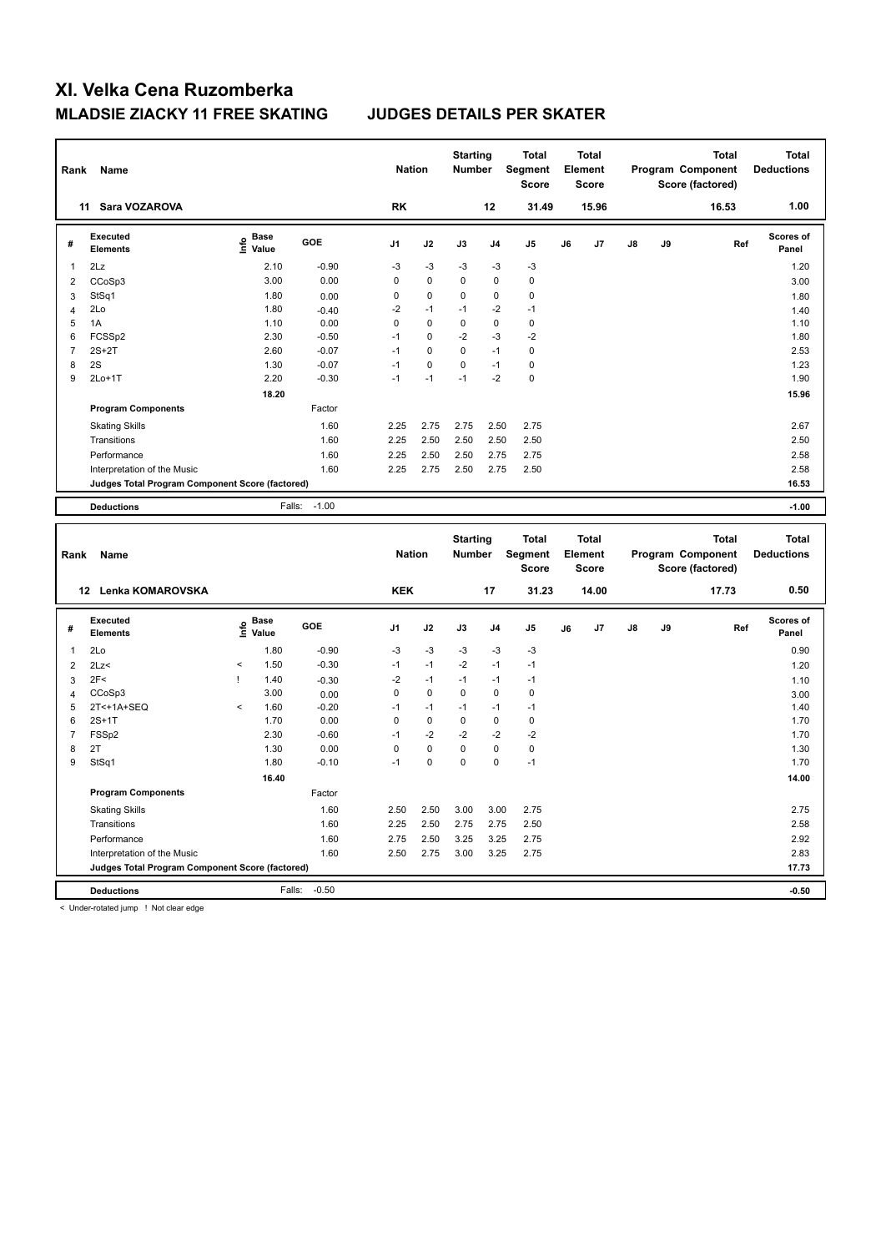| Rank                | Name                                            |                   |                    | <b>Nation</b>       |             | <b>Starting</b><br><b>Number</b> |                | <b>Total</b><br>Segment<br><b>Score</b> |    | <b>Total</b><br>Element<br><b>Score</b> |    |    | Program Component<br>Score (factored) | <b>Total</b> | <b>Total</b><br><b>Deductions</b> |
|---------------------|-------------------------------------------------|-------------------|--------------------|---------------------|-------------|----------------------------------|----------------|-----------------------------------------|----|-----------------------------------------|----|----|---------------------------------------|--------------|-----------------------------------|
|                     | 11 Sara VOZAROVA                                |                   |                    | <b>RK</b>           |             |                                  | 12             | 31.49                                   |    | 15.96                                   |    |    |                                       | 16.53        | 1.00                              |
| #                   | <b>Executed</b><br><b>Elements</b>              | e Base<br>E Value | GOE                | J <sub>1</sub>      | J2          | J3                               | J <sub>4</sub> | J <sub>5</sub>                          | J6 | J <sub>7</sub>                          | J8 | J9 |                                       | Ref          | <b>Scores of</b><br>Panel         |
| $\mathbf{1}$        | 2Lz                                             | 2.10              | $-0.90$            | $-3$                | $-3$        | $-3$                             | $-3$           | $-3$                                    |    |                                         |    |    |                                       |              | 1.20                              |
| $\overline{2}$      | CCoSp3                                          | 3.00              | 0.00               | $\mathbf 0$         | $\mathbf 0$ | 0                                | $\mathbf 0$    | $\pmb{0}$                               |    |                                         |    |    |                                       |              | 3.00                              |
| $\mathbf{3}$        | StSq1                                           | 1.80              | 0.00               | 0                   | 0           | $\Omega$                         | $\pmb{0}$      | $\mathbf 0$                             |    |                                         |    |    |                                       |              | 1.80                              |
| $\overline{4}$      | 2Lo                                             | 1.80              | $-0.40$            | $-2$                | $-1$        | -1                               | $-2$           | $-1$                                    |    |                                         |    |    |                                       |              | 1.40                              |
| 5                   | 1A                                              | 1.10              | 0.00               | $\mathbf 0$         | $\Omega$    | $\Omega$                         | $\pmb{0}$      | $\mathbf 0$                             |    |                                         |    |    |                                       |              | 1.10                              |
| 6                   | FCSSp2                                          | 2.30              | $-0.50$            | $-1$                | 0           | $-2$                             | $-3$           | $-2$                                    |    |                                         |    |    |                                       |              | 1.80                              |
| $\overline{7}$      | $2S+2T$                                         | 2.60              | $-0.07$            | $-1$                | 0           | 0                                | $-1$           | $\mathbf 0$                             |    |                                         |    |    |                                       |              | 2.53                              |
| 8                   | 2S                                              | 1.30              | $-0.07$            | $-1$                | $\pmb{0}$   | 0                                | $-1$           | $\pmb{0}$                               |    |                                         |    |    |                                       |              | 1.23                              |
| 9                   | $2Lo+1T$                                        | 2.20              | $-0.30$            | $-1$                | $-1$        | $-1$                             | $-2$           | $\pmb{0}$                               |    |                                         |    |    |                                       |              | 1.90                              |
|                     |                                                 | 18.20             |                    |                     |             |                                  |                |                                         |    |                                         |    |    |                                       |              | 15.96                             |
|                     | <b>Program Components</b>                       |                   | Factor             |                     |             |                                  |                |                                         |    |                                         |    |    |                                       |              |                                   |
|                     | <b>Skating Skills</b>                           |                   | 1.60               | 2.25                | 2.75        | 2.75                             | 2.50           | 2.75                                    |    |                                         |    |    |                                       |              | 2.67                              |
|                     | Transitions                                     |                   | 1.60               | 2.25                | 2.50        | 2.50                             | 2.50           | 2.50                                    |    |                                         |    |    |                                       |              | 2.50                              |
|                     | Performance                                     |                   | 1.60               | 2.25                | 2.50        | 2.50                             | 2.75           | 2.75                                    |    |                                         |    |    |                                       |              | 2.58                              |
|                     | Interpretation of the Music                     |                   | 1.60               | 2.25                | 2.75        | 2.50                             | 2.75           | 2.50                                    |    |                                         |    |    |                                       |              | 2.58                              |
|                     | Judges Total Program Component Score (factored) |                   |                    |                     |             |                                  |                |                                         |    |                                         |    |    |                                       |              | 16.53                             |
|                     | <b>Deductions</b>                               | Falls:            | $-1.00$            |                     |             |                                  |                |                                         |    |                                         |    |    |                                       |              | $-1.00$                           |
|                     |                                                 |                   |                    |                     |             |                                  |                |                                         |    |                                         |    |    |                                       |              |                                   |
|                     |                                                 |                   |                    |                     |             |                                  |                |                                         |    |                                         |    |    |                                       |              |                                   |
| Rank                | Name                                            |                   |                    | <b>Nation</b>       |             | <b>Starting</b><br>Number        |                | <b>Total</b><br>Segment<br><b>Score</b> |    | <b>Total</b><br>Element<br><b>Score</b> |    |    | Program Component<br>Score (factored) | <b>Total</b> | <b>Total</b><br><b>Deductions</b> |
|                     | 12 Lenka KOMAROVSKA                             |                   |                    | <b>KEK</b>          |             |                                  | 17             | 31.23                                   |    | 14.00                                   |    |    |                                       | 17.73        | 0.50                              |
| #                   | <b>Executed</b><br><b>Elements</b>              | e Base<br>E Value | GOE                | J <sub>1</sub>      | J2          | J3                               | J <sub>4</sub> | J <sub>5</sub>                          | J6 | J7                                      | J8 | J9 |                                       | Ref          | <b>Scores of</b><br>Panel         |
| $\mathbf{1}$        | 2Lo                                             | 1.80              |                    | $-3$                | $-3$        | $-3$                             | $-3$           | $-3$                                    |    |                                         |    |    |                                       |              | 0.90                              |
| $\overline{2}$      | 2Lz                                             | 1.50<br>$\prec$   | $-0.90$<br>$-0.30$ | $-1$                | $-1$        | $-2$                             | $-1$           | $-1$                                    |    |                                         |    |    |                                       |              |                                   |
|                     |                                                 | 1.40<br>I         |                    |                     | $-1$        | $-1$                             | $-1$           | $-1$                                    |    |                                         |    |    |                                       |              | 1.20                              |
| 3<br>$\overline{4}$ | 2F<<br>CCoSp3                                   | 3.00              | $-0.30$<br>0.00    | $-2$<br>$\mathbf 0$ | $\mathbf 0$ | 0                                | $\mathbf 0$    | $\mathbf 0$                             |    |                                         |    |    |                                       |              | 1.10<br>3.00                      |
| 5                   | 2T<+1A+SEQ                                      | $\,<$<br>1.60     | $-0.20$            | $-1$                | $-1$        | $-1$                             | $-1$           | $-1$                                    |    |                                         |    |    |                                       |              | 1.40                              |
| 6                   | $2S+1T$                                         | 1.70              | 0.00               | $\mathbf 0$         | $\pmb{0}$   | 0                                | $\pmb{0}$      | $\pmb{0}$                               |    |                                         |    |    |                                       |              | 1.70                              |
| $\overline{7}$      | FSSp2                                           | 2.30              | $-0.60$            | $-1$                | $-2$        | $-2$                             | $-2$           | $-2$                                    |    |                                         |    |    |                                       |              | 1.70                              |
| 8                   | 2T                                              | 1.30              | 0.00               | $\mathbf 0$         | $\mathbf 0$ | 0                                | $\mathbf 0$    | $\pmb{0}$                               |    |                                         |    |    |                                       |              | 1.30                              |
| 9                   | StSq1                                           | 1.80              | $-0.10$            | $-1$                | $\pmb{0}$   | 0                                | $\mathbf 0$    | $-1$                                    |    |                                         |    |    |                                       |              | 1.70                              |
|                     |                                                 | 16.40             |                    |                     |             |                                  |                |                                         |    |                                         |    |    |                                       |              | 14.00                             |
|                     | <b>Program Components</b>                       |                   | Factor             |                     |             |                                  |                |                                         |    |                                         |    |    |                                       |              |                                   |
|                     | <b>Skating Skills</b>                           |                   | 1.60               | 2.50                | 2.50        | 3.00                             | 3.00           | 2.75                                    |    |                                         |    |    |                                       |              | 2.75                              |
|                     | Transitions                                     |                   | 1.60               | 2.25                | 2.50        | 2.75                             | 2.75           | 2.50                                    |    |                                         |    |    |                                       |              | 2.58                              |
|                     | Performance                                     |                   | 1.60               | 2.75                | 2.50        | 3.25                             | 3.25           | 2.75                                    |    |                                         |    |    |                                       |              | 2.92                              |
|                     | Interpretation of the Music                     |                   | 1.60               | 2.50                | 2.75        | 3.00                             | 3.25           | 2.75                                    |    |                                         |    |    |                                       |              | 2.83                              |
|                     | Judges Total Program Component Score (factored) |                   |                    |                     |             |                                  |                |                                         |    |                                         |    |    |                                       |              | 17.73                             |

< Under-rotated jump ! Not clear edge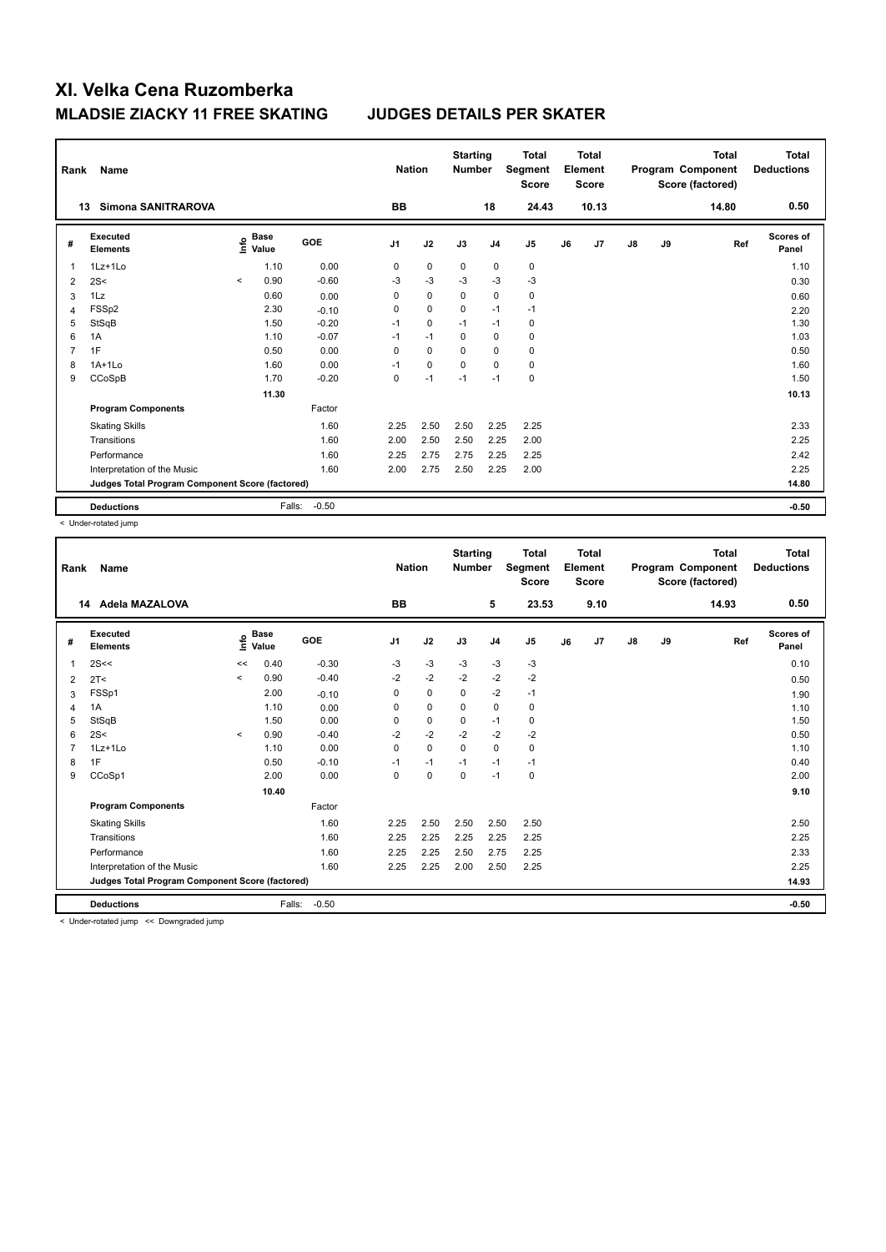| Rank           | Name                                            |         |                      |         | <b>Nation</b>  |             | <b>Starting</b><br><b>Number</b> |                | <b>Total</b><br>Segment<br><b>Score</b> |    | <b>Total</b><br>Element<br><b>Score</b> |               |    | <b>Total</b><br>Program Component<br>Score (factored) | Total<br><b>Deductions</b> |
|----------------|-------------------------------------------------|---------|----------------------|---------|----------------|-------------|----------------------------------|----------------|-----------------------------------------|----|-----------------------------------------|---------------|----|-------------------------------------------------------|----------------------------|
|                | Simona SANITRAROVA<br>13                        |         |                      |         | BB             |             |                                  | 18             | 24.43                                   |    | 10.13                                   |               |    | 14.80                                                 | 0.50                       |
| #              | Executed<br><b>Elements</b>                     | e       | <b>Base</b><br>Value | GOE     | J <sub>1</sub> | J2          | J3                               | J <sub>4</sub> | J <sub>5</sub>                          | J6 | J <sub>7</sub>                          | $\mathsf{J}8$ | J9 | Ref                                                   | Scores of<br>Panel         |
| 1              | 1Lz+1Lo                                         |         | 1.10                 | 0.00    | 0              | $\mathbf 0$ | $\mathbf 0$                      | $\mathbf 0$    | $\mathbf 0$                             |    |                                         |               |    |                                                       | 1.10                       |
| $\overline{2}$ | 2S<                                             | $\prec$ | 0.90                 | $-0.60$ | $-3$           | $-3$        | $-3$                             | $-3$           | $-3$                                    |    |                                         |               |    |                                                       | 0.30                       |
| 3              | 1Lz                                             |         | 0.60                 | 0.00    | 0              | $\mathbf 0$ | 0                                | $\mathbf 0$    | $\pmb{0}$                               |    |                                         |               |    |                                                       | 0.60                       |
| 4              | FSSp2                                           |         | 2.30                 | $-0.10$ | 0              | $\mathbf 0$ | $\mathbf 0$                      | $-1$           | $-1$                                    |    |                                         |               |    |                                                       | 2.20                       |
| 5              | StSqB                                           |         | 1.50                 | $-0.20$ | $-1$           | $\mathbf 0$ | $-1$                             | $-1$           | 0                                       |    |                                         |               |    |                                                       | 1.30                       |
| 6              | 1A                                              |         | 1.10                 | $-0.07$ | $-1$           | $-1$        | 0                                | 0              | $\mathbf 0$                             |    |                                         |               |    |                                                       | 1.03                       |
| 7              | 1F                                              |         | 0.50                 | 0.00    | $\mathbf 0$    | $\mathbf 0$ | $\Omega$                         | $\mathbf 0$    | $\mathbf 0$                             |    |                                         |               |    |                                                       | 0.50                       |
| 8              | $1A+1Lo$                                        |         | 1.60                 | 0.00    | $-1$           | $\mathbf 0$ | $\mathbf 0$                      | 0              | 0                                       |    |                                         |               |    |                                                       | 1.60                       |
| 9              | CCoSpB                                          |         | 1.70                 | $-0.20$ | 0              | $-1$        | $-1$                             | $-1$           | $\pmb{0}$                               |    |                                         |               |    |                                                       | 1.50                       |
|                |                                                 |         | 11.30                |         |                |             |                                  |                |                                         |    |                                         |               |    |                                                       | 10.13                      |
|                | <b>Program Components</b>                       |         |                      | Factor  |                |             |                                  |                |                                         |    |                                         |               |    |                                                       |                            |
|                | <b>Skating Skills</b>                           |         |                      | 1.60    | 2.25           | 2.50        | 2.50                             | 2.25           | 2.25                                    |    |                                         |               |    |                                                       | 2.33                       |
|                | Transitions                                     |         |                      | 1.60    | 2.00           | 2.50        | 2.50                             | 2.25           | 2.00                                    |    |                                         |               |    |                                                       | 2.25                       |
|                | Performance                                     |         |                      | 1.60    | 2.25           | 2.75        | 2.75                             | 2.25           | 2.25                                    |    |                                         |               |    |                                                       | 2.42                       |
|                | Interpretation of the Music                     |         |                      | 1.60    | 2.00           | 2.75        | 2.50                             | 2.25           | 2.00                                    |    |                                         |               |    |                                                       | 2.25                       |
|                | Judges Total Program Component Score (factored) |         |                      |         |                |             |                                  |                |                                         |    |                                         |               |    |                                                       | 14.80                      |
|                | <b>Deductions</b>                               |         | Falls:               | $-0.50$ |                |             |                                  |                |                                         |    |                                         |               |    |                                                       | $-0.50$                    |

< Under-rotated jump

| Rank | Name                                            |         |                      |            | <b>Nation</b>  |             | <b>Starting</b><br><b>Number</b> |                | <b>Total</b><br>Segment<br><b>Score</b> |    | <b>Total</b><br>Element<br><b>Score</b> |               |    | <b>Total</b><br>Program Component<br>Score (factored) | <b>Total</b><br><b>Deductions</b> |
|------|-------------------------------------------------|---------|----------------------|------------|----------------|-------------|----------------------------------|----------------|-----------------------------------------|----|-----------------------------------------|---------------|----|-------------------------------------------------------|-----------------------------------|
|      | Adela MAZALOVA<br>14                            |         |                      |            | <b>BB</b>      |             |                                  | 5              | 23.53                                   |    | 9.10                                    |               |    | 14.93                                                 | 0.50                              |
| #    | Executed<br><b>Elements</b>                     | ۴       | <b>Base</b><br>Value | <b>GOE</b> | J <sub>1</sub> | J2          | J3                               | J <sub>4</sub> | J5                                      | J6 | J7                                      | $\mathsf{J}8$ | J9 | Ref                                                   | <b>Scores of</b><br>Panel         |
| 1    | 2S<<                                            | <<      | 0.40                 | $-0.30$    | -3             | $-3$        | $-3$                             | $-3$           | $-3$                                    |    |                                         |               |    |                                                       | 0.10                              |
| 2    | 2T <                                            | $\prec$ | 0.90                 | $-0.40$    | $-2$           | $-2$        | $-2$                             | $-2$           | $-2$                                    |    |                                         |               |    |                                                       | 0.50                              |
| 3    | FSSp1                                           |         | 2.00                 | $-0.10$    | 0              | $\mathbf 0$ | $\Omega$                         | $-2$           | $-1$                                    |    |                                         |               |    |                                                       | 1.90                              |
| 4    | 1A                                              |         | 1.10                 | 0.00       | 0              | $\mathbf 0$ | $\mathbf 0$                      | $\mathbf 0$    | $\mathbf 0$                             |    |                                         |               |    |                                                       | 1.10                              |
| 5    | StSqB                                           |         | 1.50                 | 0.00       | 0              | $\pmb{0}$   | $\mathbf 0$                      | $-1$           | $\pmb{0}$                               |    |                                         |               |    |                                                       | 1.50                              |
| 6    | 2S<                                             | $\prec$ | 0.90                 | $-0.40$    | $-2$           | $-2$        | $-2$                             | $-2$           | $-2$                                    |    |                                         |               |    |                                                       | 0.50                              |
|      | $1Lz+1Lo$                                       |         | 1.10                 | 0.00       | 0              | 0           | $\Omega$                         | 0              | 0                                       |    |                                         |               |    |                                                       | 1.10                              |
| 8    | 1F                                              |         | 0.50                 | $-0.10$    | $-1$           | $-1$        | $-1$                             | $-1$           | $-1$                                    |    |                                         |               |    |                                                       | 0.40                              |
| 9    | CCoSp1                                          |         | 2.00                 | 0.00       | 0              | $\mathbf 0$ | $\mathbf 0$                      | $-1$           | $\mathbf 0$                             |    |                                         |               |    |                                                       | 2.00                              |
|      |                                                 |         | 10.40                |            |                |             |                                  |                |                                         |    |                                         |               |    |                                                       | 9.10                              |
|      | <b>Program Components</b>                       |         |                      | Factor     |                |             |                                  |                |                                         |    |                                         |               |    |                                                       |                                   |
|      | <b>Skating Skills</b>                           |         |                      | 1.60       | 2.25           | 2.50        | 2.50                             | 2.50           | 2.50                                    |    |                                         |               |    |                                                       | 2.50                              |
|      | Transitions                                     |         |                      | 1.60       | 2.25           | 2.25        | 2.25                             | 2.25           | 2.25                                    |    |                                         |               |    |                                                       | 2.25                              |
|      | Performance                                     |         |                      | 1.60       | 2.25           | 2.25        | 2.50                             | 2.75           | 2.25                                    |    |                                         |               |    |                                                       | 2.33                              |
|      | Interpretation of the Music                     |         |                      | 1.60       | 2.25           | 2.25        | 2.00                             | 2.50           | 2.25                                    |    |                                         |               |    |                                                       | 2.25                              |
|      | Judges Total Program Component Score (factored) |         |                      |            |                |             |                                  |                |                                         |    |                                         |               |    |                                                       | 14.93                             |
|      | <b>Deductions</b>                               |         | Falls:               | $-0.50$    |                |             |                                  |                |                                         |    |                                         |               |    |                                                       | $-0.50$                           |

< Under-rotated jump << Downgraded jump